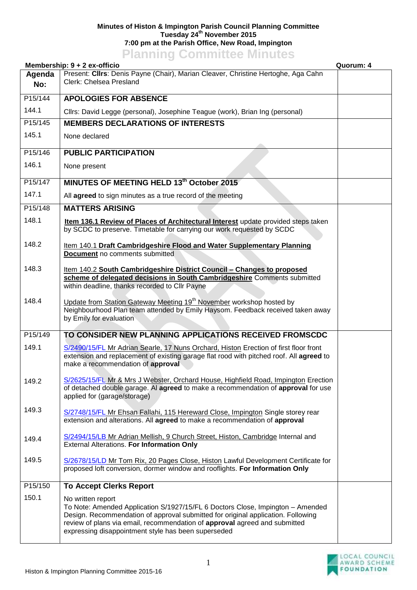## **Minutes of Histon & Impington Parish Council Planning Committee Tuesday 24th November 2015 7:00 pm at the Parish Office, New Road, Impington Planning Committee Minutes**

|               | Membership: 9 + 2 ex-officio                                                                                                                                                                                                                                                                                                 | Quorum: 4 |
|---------------|------------------------------------------------------------------------------------------------------------------------------------------------------------------------------------------------------------------------------------------------------------------------------------------------------------------------------|-----------|
| Agenda<br>No: | Present: Cllrs: Denis Payne (Chair), Marian Cleaver, Christine Hertoghe, Aga Cahn<br>Clerk: Chelsea Presland                                                                                                                                                                                                                 |           |
|               |                                                                                                                                                                                                                                                                                                                              |           |
| P15/144       | <b>APOLOGIES FOR ABSENCE</b>                                                                                                                                                                                                                                                                                                 |           |
| 144.1         | Cllrs: David Legge (personal), Josephine Teague (work), Brian Ing (personal)                                                                                                                                                                                                                                                 |           |
| P15/145       | <b>MEMBERS DECLARATIONS OF INTERESTS</b>                                                                                                                                                                                                                                                                                     |           |
| 145.1         | None declared                                                                                                                                                                                                                                                                                                                |           |
| P15/146       | <b>PUBLIC PARTICIPATION</b>                                                                                                                                                                                                                                                                                                  |           |
| 146.1         | None present                                                                                                                                                                                                                                                                                                                 |           |
| P15/147       | MINUTES OF MEETING HELD 13th October 2015                                                                                                                                                                                                                                                                                    |           |
| 147.1         | All agreed to sign minutes as a true record of the meeting                                                                                                                                                                                                                                                                   |           |
| P15/148       | <b>MATTERS ARISING</b>                                                                                                                                                                                                                                                                                                       |           |
| 148.1         | Item 136.1 Review of Places of Architectural Interest update provided steps taken<br>by SCDC to preserve. Timetable for carrying our work requested by SCDC                                                                                                                                                                  |           |
| 148.2         | Item 140.1 Draft Cambridgeshire Flood and Water Supplementary Planning<br>Document no comments submitted                                                                                                                                                                                                                     |           |
| 148.3         | Item 140.2 South Cambridgeshire District Council - Changes to proposed<br>scheme of delegated decisions in South Cambridgeshire Comments submitted<br>within deadline, thanks recorded to Cllr Payne                                                                                                                         |           |
| 148.4         | Update from Station Gateway Meeting 19 <sup>th</sup> November workshop hosted by<br>Neighbourhood Plan team attended by Emily Haysom. Feedback received taken away<br>by Emily for evaluation                                                                                                                                |           |
| P15/149       | TO CONSIDER NEW PLANNING APPLICATIONS RECEIVED FROMSCDC                                                                                                                                                                                                                                                                      |           |
| 149.1         | S/2490/15/FL Mr Adrian Searle, 17 Nuns Orchard, Histon Erection of first floor front<br>extension and replacement of existing garage flat rood with pitched roof. All agreed to<br>make a recommendation of approval                                                                                                         |           |
| 149.2         | S/2625/15/FL Mr & Mrs J Webster, Orchard House, Highfield Road, Impington Erection<br>of detached double garage. Al agreed to make a recommendation of approval for use<br>applied for (garage/storage)                                                                                                                      |           |
| 149.3         | S/2748/15/FL Mr Ehsan Fallahi, 115 Hereward Close, Impington Single storey rear<br>extension and alterations. All agreed to make a recommendation of approval                                                                                                                                                                |           |
| 149.4         | S/2494/15/LB Mr Adrian Mellish, 9 Church Street, Histon, Cambridge Internal and<br><b>External Alterations. For Information Only</b>                                                                                                                                                                                         |           |
| 149.5         | S/2678/15/LD Mr Tom Rix, 20 Pages Close, Histon Lawful Development Certificate for<br>proposed loft conversion, dormer window and rooflights. For Information Only                                                                                                                                                           |           |
| P15/150       | <b>To Accept Clerks Report</b>                                                                                                                                                                                                                                                                                               |           |
| 150.1         | No written report<br>To Note: Amended Application S/1927/15/FL 6 Doctors Close, Impington - Amended<br>Design. Recommendation of approval submitted for original application. Following<br>review of plans via email, recommendation of approval agreed and submitted<br>expressing disappointment style has been superseded |           |